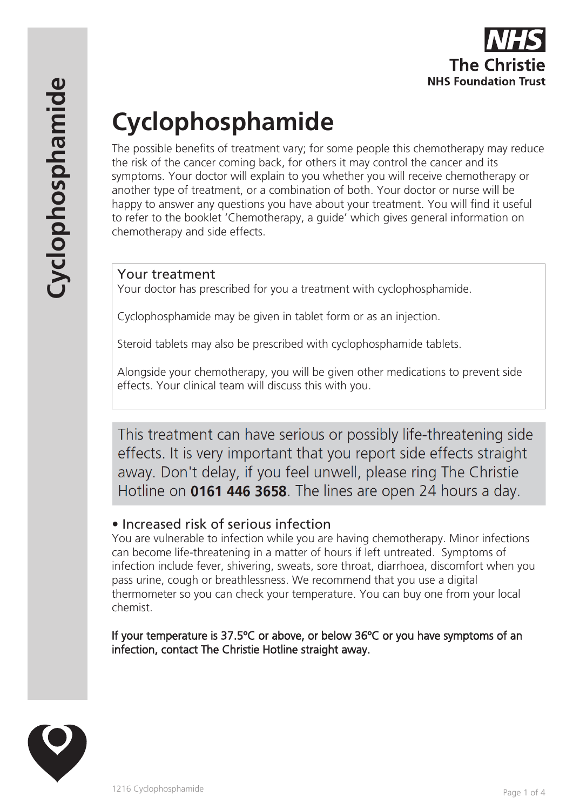

# **Cyclophosphamide**

The possible benefits of treatment vary; for some people this chemotherapy may reduce the risk of the cancer coming back, for others it may control the cancer and its symptoms. Your doctor will explain to you whether you will receive chemotherapy or another type of treatment, or a combination of both. Your doctor or nurse will be happy to answer any questions you have about your treatment. You will find it useful to refer to the booklet 'Chemotherapy, a guide' which gives general information on chemotherapy and side effects.

#### Your treatment

Your doctor has prescribed for you a treatment with cyclophosphamide.

Cyclophosphamide may be given in tablet form or as an injection.

Steroid tablets may also be prescribed with cyclophosphamide tablets.

Alongside your chemotherapy, you will be given other medications to prevent side effects. Your clinical team will discuss this with you.

This treatment can have serious or possibly life-threatening side effects. It is very important that you report side effects straight away. Don't delay, if you feel unwell, please ring The Christie Hotline on 0161 446 3658. The lines are open 24 hours a day.

## • Increased risk of serious infection

You are vulnerable to infection while you are having chemotherapy. Minor infections can become life-threatening in a matter of hours if left untreated. Symptoms of infection include fever, shivering, sweats, sore throat, diarrhoea, discomfort when you pass urine, cough or breathlessness. We recommend that you use a digital thermometer so you can check your temperature. You can buy one from your local chemist.

If your temperature is 37.5ºC or above, or below 36ºC or you have symptoms of an infection, contact The Christie Hotline straight away.

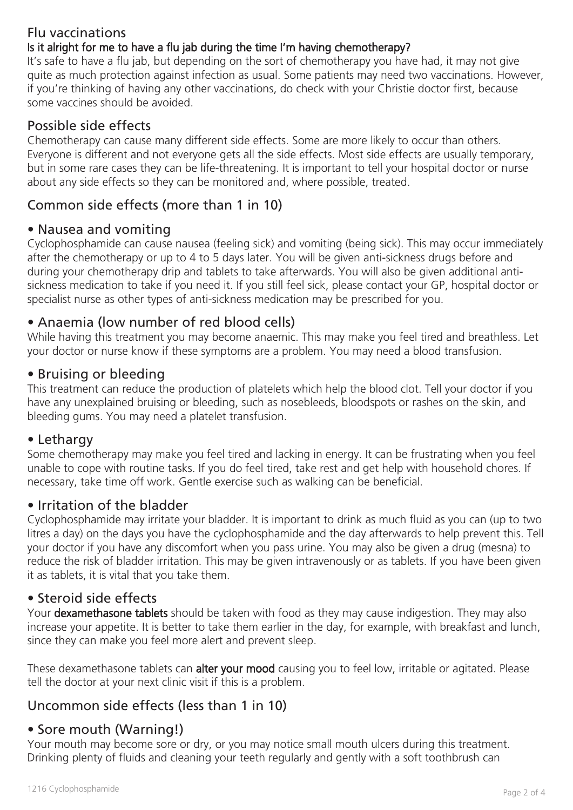## Flu vaccinations

#### Is it alright for me to have a flu jab during the time I'm having chemotherapy?

It's safe to have a flu jab, but depending on the sort of chemotherapy you have had, it may not give quite as much protection against infection as usual. Some patients may need two vaccinations. However, if you're thinking of having any other vaccinations, do check with your Christie doctor first, because some vaccines should be avoided.

### Possible side effects

Chemotherapy can cause many different side effects. Some are more likely to occur than others. Everyone is different and not everyone gets all the side effects. Most side effects are usually temporary, but in some rare cases they can be life-threatening. It is important to tell your hospital doctor or nurse about any side effects so they can be monitored and, where possible, treated.

## Common side effects (more than 1 in 10)

#### • Nausea and vomiting

Cyclophosphamide can cause nausea (feeling sick) and vomiting (being sick). This may occur immediately after the chemotherapy or up to 4 to 5 days later. You will be given anti-sickness drugs before and during your chemotherapy drip and tablets to take afterwards. You will also be given additional antisickness medication to take if you need it. If you still feel sick, please contact your GP, hospital doctor or specialist nurse as other types of anti-sickness medication may be prescribed for you.

#### • Anaemia (low number of red blood cells)

While having this treatment you may become anaemic. This may make you feel tired and breathless. Let your doctor or nurse know if these symptoms are a problem. You may need a blood transfusion.

#### • Bruising or bleeding

This treatment can reduce the production of platelets which help the blood clot. Tell your doctor if you have any unexplained bruising or bleeding, such as nosebleeds, bloodspots or rashes on the skin, and bleeding gums. You may need a platelet transfusion.

#### • Lethargy

Some chemotherapy may make you feel tired and lacking in energy. It can be frustrating when you feel unable to cope with routine tasks. If you do feel tired, take rest and get help with household chores. If necessary, take time off work. Gentle exercise such as walking can be beneficial.

#### • Irritation of the bladder

Cyclophosphamide may irritate your bladder. It is important to drink as much fluid as you can (up to two litres a day) on the days you have the cyclophosphamide and the day afterwards to help prevent this. Tell your doctor if you have any discomfort when you pass urine. You may also be given a drug (mesna) to reduce the risk of bladder irritation. This may be given intravenously or as tablets. If you have been given it as tablets, it is vital that you take them.

#### • Steroid side effects

Your **dexamethasone tablets** should be taken with food as they may cause indigestion. They may also increase your appetite. It is better to take them earlier in the day, for example, with breakfast and lunch, since they can make you feel more alert and prevent sleep.

These dexamethasone tablets can alter your mood causing you to feel low, irritable or agitated. Please tell the doctor at your next clinic visit if this is a problem.

## Uncommon side effects (less than 1 in 10)

## • Sore mouth (Warning!)

Your mouth may become sore or dry, or you may notice small mouth ulcers during this treatment. Drinking plenty of fluids and cleaning your teeth regularly and gently with a soft toothbrush can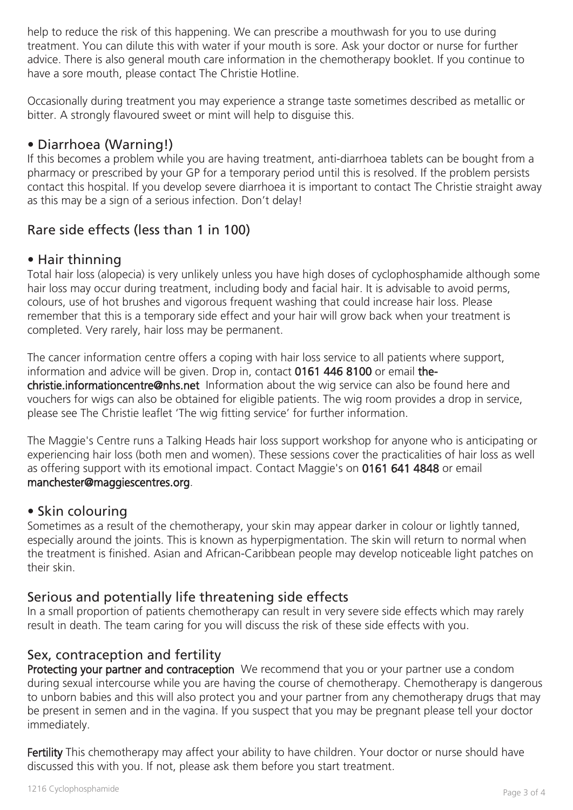help to reduce the risk of this happening. We can prescribe a mouthwash for you to use during treatment. You can dilute this with water if your mouth is sore. Ask your doctor or nurse for further advice. There is also general mouth care information in the chemotherapy booklet. If you continue to have a sore mouth, please contact The Christie Hotline.

Occasionally during treatment you may experience a strange taste sometimes described as metallic or bitter. A strongly flavoured sweet or mint will help to disguise this.

## • Diarrhoea (Warning!)

If this becomes a problem while you are having treatment, anti-diarrhoea tablets can be bought from a pharmacy or prescribed by your GP for a temporary period until this is resolved. If the problem persists contact this hospital. If you develop severe diarrhoea it is important to contact The Christie straight away as this may be a sign of a serious infection. Don't delay!

## Rare side effects (less than 1 in 100)

#### • Hair thinning

Total hair loss (alopecia) is very unlikely unless you have high doses of cyclophosphamide although some hair loss may occur during treatment, including body and facial hair. It is advisable to avoid perms, colours, use of hot brushes and vigorous frequent washing that could increase hair loss. Please remember that this is a temporary side effect and your hair will grow back when your treatment is completed. Very rarely, hair loss may be permanent.

The cancer information centre offers a coping with hair loss service to all patients where support, information and advice will be given. Drop in, contact 0161 446 8100 or email thechristie.informationcentre@nhs.net Information about the wig service can also be found here and vouchers for wigs can also be obtained for eligible patients. The wig room provides a drop in service, please see The Christie leaflet 'The wig fitting service' for further information.

The Maggie's Centre runs a Talking Heads hair loss support workshop for anyone who is anticipating or experiencing hair loss (both men and women). These sessions cover the practicalities of hair loss as well as offering support with its emotional impact. Contact Maggie's on 0161 641 4848 or email manchester@maggiescentres.org.

#### • Skin colouring

Sometimes as a result of the chemotherapy, your skin may appear darker in colour or lightly tanned, especially around the joints. This is known as hyperpigmentation. The skin will return to normal when the treatment is finished. Asian and African-Caribbean people may develop noticeable light patches on their skin.

## Serious and potentially life threatening side effects

In a small proportion of patients chemotherapy can result in very severe side effects which may rarely result in death. The team caring for you will discuss the risk of these side effects with you.

## Sex, contraception and fertility

Protecting your partner and contraception We recommend that you or your partner use a condom during sexual intercourse while you are having the course of chemotherapy. Chemotherapy is dangerous to unborn babies and this will also protect you and your partner from any chemotherapy drugs that may be present in semen and in the vagina. If you suspect that you may be pregnant please tell your doctor immediately.

Fertility This chemotherapy may affect your ability to have children. Your doctor or nurse should have discussed this with you. If not, please ask them before you start treatment.